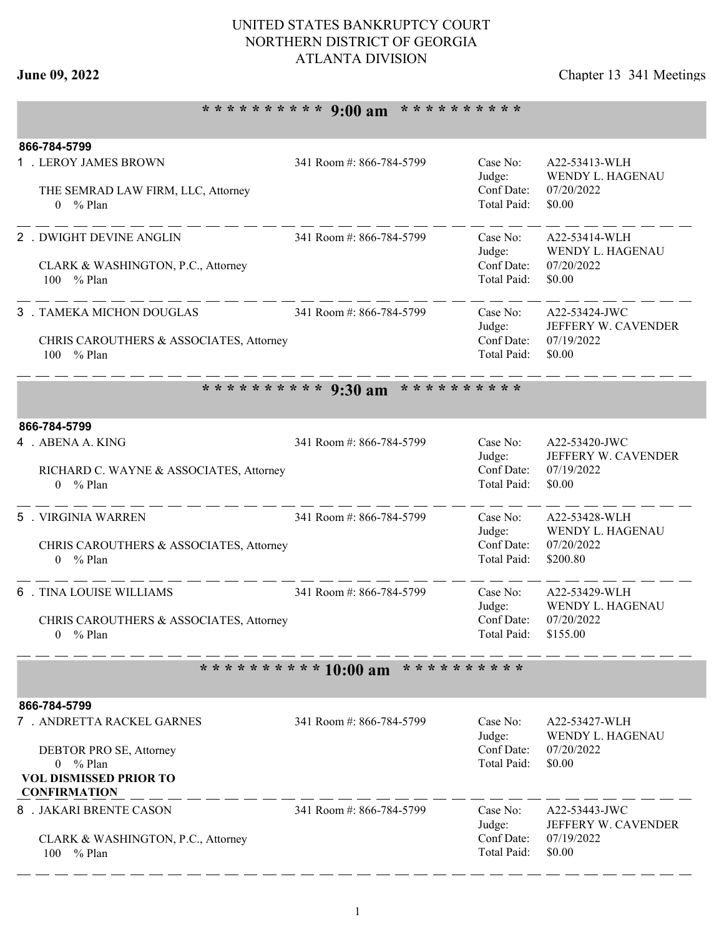## UNITED STATES BANKRUPTCY COURT NORTHERN DISTRICT OF GEORGIA ATLANTA DIVISION

# **June 09, 2022** Chapter 13 341 Meetings

# **\* \* \* \* \* \* \* \* \* \* 9:00 am \* \* \* \* \* \* \* \* \* \***

| 866-784-5799                                                          |                          |                           |                                      |
|-----------------------------------------------------------------------|--------------------------|---------------------------|--------------------------------------|
| 1 . LEROY JAMES BROWN                                                 | 341 Room #: 866-784-5799 | Case No:<br>Judge:        | A22-53413-WLH<br>WENDY L. HAGENAU    |
| THE SEMRAD LAW FIRM, LLC, Attorney                                    |                          | Conf Date:                | 07/20/2022                           |
| $0 \frac{9}{6}$ Plan                                                  |                          | Total Paid:               | \$0.00                               |
| 2 . DWIGHT DEVINE ANGLIN                                              | 341 Room #: 866-784-5799 | Case No:                  | A22-53414-WLH                        |
|                                                                       |                          | Judge:                    | WENDY L. HAGENAU                     |
| CLARK & WASHINGTON, P.C., Attorney<br>100 % Plan                      |                          | Conf Date:<br>Total Paid: | 07/20/2022<br>\$0.00                 |
|                                                                       |                          |                           |                                      |
| 3 . TAMEKA MICHON DOUGLAS                                             | 341 Room #: 866-784-5799 | Case No:                  | A22-53424-JWC                        |
| CHRIS CAROUTHERS & ASSOCIATES, Attorney                               |                          | Judge:<br>Conf Date:      | JEFFERY W. CAVENDER<br>07/19/2022    |
| % Plan<br>100                                                         |                          | Total Paid:               | \$0.00                               |
|                                                                       |                          |                           |                                      |
|                                                                       | ********** 9:30 am       | * * * * * * * * * *       |                                      |
| 866-784-5799                                                          |                          |                           |                                      |
| 4 . ABENA A. KING                                                     | 341 Room #: 866-784-5799 | Case No:                  | A22-53420-JWC                        |
|                                                                       |                          | Judge:<br>Conf Date:      | JEFFERY W. CAVENDER<br>07/19/2022    |
| RICHARD C. WAYNE & ASSOCIATES, Attorney<br>$%$ Plan<br>$\overline{0}$ |                          | Total Paid:               | \$0.00                               |
|                                                                       |                          |                           |                                      |
| 5 . VIRGINIA WARREN                                                   | 341 Room #: 866-784-5799 | Case No:                  | A22-53428-WLH                        |
| CHRIS CAROUTHERS & ASSOCIATES, Attorney                               |                          | Judge:<br>Conf Date:      | WENDY L. HAGENAU<br>07/20/2022       |
| $0 \frac{9}{6}$ Plan                                                  |                          | Total Paid:               | \$200.80                             |
|                                                                       |                          |                           |                                      |
| <b>6</b> . TINA LOUISE WILLIAMS                                       | 341 Room #: 866-784-5799 | Case No:<br>Judge:        | A22-53429-WLH<br>WENDY L. HAGENAU    |
| CHRIS CAROUTHERS & ASSOCIATES, Attorney                               |                          | Conf Date:                | 07/20/2022                           |
| $0 \frac{9}{6}$ Plan                                                  |                          | Total Paid:               | \$155.00                             |
|                                                                       |                          |                           |                                      |
|                                                                       | ********** 10:00 am      | * * * * * * * * * *       |                                      |
| 866-784-5799                                                          |                          |                           |                                      |
| 7. ANDRETTA RACKEL GARNES                                             | 341 Room #: 866-784-5799 | Case No:                  | A22-53427-WLH                        |
| DEBTOR PRO SE, Attorney                                               |                          | Judge:<br>Conf Date:      | WENDY L. HAGENAU<br>07/20/2022       |
| $0 \frac{9}{6}$ Plan                                                  |                          | Total Paid:               | \$0.00                               |
| <b>VOL DISMISSED PRIOR TO</b>                                         |                          |                           |                                      |
| <b>CONFIRMATION</b>                                                   |                          |                           |                                      |
| 8 . JAKARI BRENTE CASON                                               | 341 Room #: 866-784-5799 | Case No:<br>Judge:        | A22-53443-JWC<br>JEFFERY W. CAVENDER |
| CLARK & WASHINGTON, P.C., Attorney                                    |                          | Conf Date:                | 07/19/2022                           |
| 100<br>$%$ Plan                                                       |                          | Total Paid:               | \$0.00                               |
|                                                                       |                          |                           |                                      |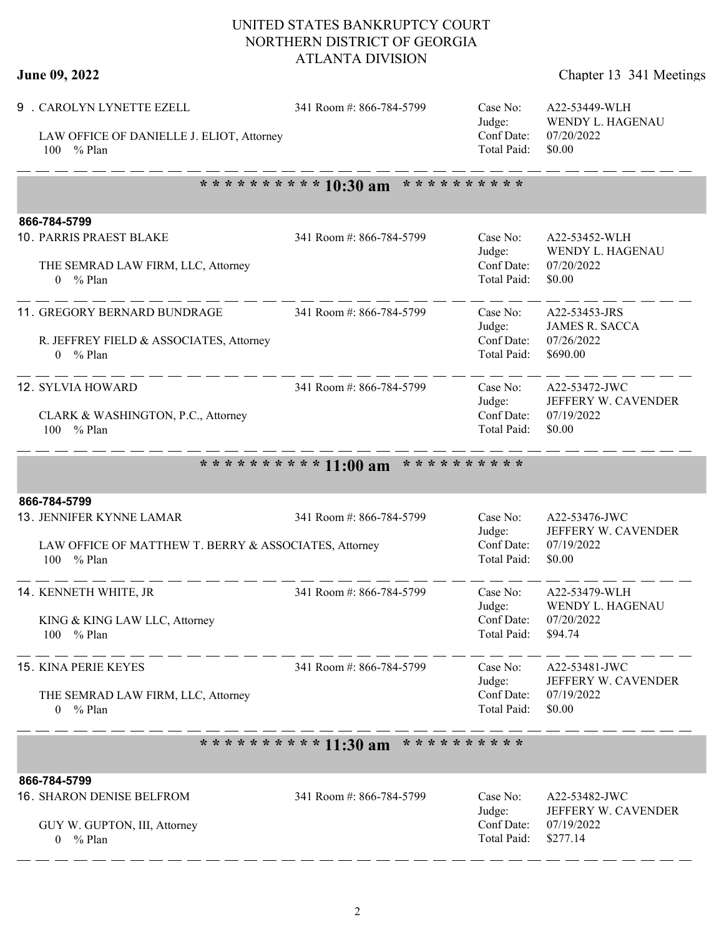## UNITED STATES BANKRUPTCY COURT NORTHERN DISTRICT OF GEORGIA ATLANTA DIVISION

| June 09, 2022 | Chapter 13 341 Meetings |
|---------------|-------------------------|
|---------------|-------------------------|

| 9 . CAROLYN LYNETTE EZELL<br>LAW OFFICE OF DANIELLE J. ELIOT, Attorney<br>% Plan<br>100               | 341 Room #: 866-784-5799                   | Case No:<br>Judge:<br>Conf Date:<br>Total Paid: | A22-53449-WLH<br>WENDY L. HAGENAU<br>07/20/2022<br>\$0.00        |  |  |  |
|-------------------------------------------------------------------------------------------------------|--------------------------------------------|-------------------------------------------------|------------------------------------------------------------------|--|--|--|
| ********** 10:30 am<br>* * * * * * * * * *                                                            |                                            |                                                 |                                                                  |  |  |  |
| 866-784-5799<br>10. PARRIS PRAEST BLAKE<br>THE SEMRAD LAW FIRM, LLC, Attorney<br>$0 \frac{9}{6}$ Plan | 341 Room #: 866-784-5799                   | Case No:<br>Judge:<br>Conf Date:<br>Total Paid: | A22-53452-WLH<br>WENDY L. HAGENAU<br>07/20/2022<br>\$0.00        |  |  |  |
| 11. GREGORY BERNARD BUNDRAGE<br>R. JEFFREY FIELD & ASSOCIATES, Attorney<br>$0 \frac{9}{6}$ Plan       | 341 Room #: 866-784-5799                   | Case No:<br>Judge:<br>Conf Date:<br>Total Paid: | A22-53453-JRS<br><b>JAMES R. SACCA</b><br>07/26/2022<br>\$690.00 |  |  |  |
| 12. SYLVIA HOWARD<br>CLARK & WASHINGTON, P.C., Attorney<br>% Plan<br>100                              | 341 Room #: 866-784-5799                   | Case No:<br>Judge:<br>Conf Date:<br>Total Paid: | A22-53472-JWC<br>JEFFERY W. CAVENDER<br>07/19/2022<br>\$0.00     |  |  |  |
|                                                                                                       | ********** 11:00 am<br>* * * * * * * * * * |                                                 |                                                                  |  |  |  |
| 866-784-5799                                                                                          |                                            |                                                 |                                                                  |  |  |  |
| 13. JENNIFER KYNNE LAMAR<br>LAW OFFICE OF MATTHEW T. BERRY & ASSOCIATES, Attorney<br>100<br>$%$ Plan  | 341 Room #: 866-784-5799                   | Case No:<br>Judge:<br>Conf Date:<br>Total Paid: | A22-53476-JWC<br>JEFFERY W. CAVENDER<br>07/19/2022<br>\$0.00     |  |  |  |
| 14. KENNETH WHITE, JR<br>KING & KING LAW LLC, Attorney<br>100 % Plan                                  | 341 Room #: 866-784-5799                   | Case No:<br>Judge:<br>Conf Date:<br>Total Paid: | A22-53479-WLH<br>WENDY L. HAGENAU<br>07/20/2022<br>\$94.74       |  |  |  |
| <b>15. KINA PERIE KEYES</b><br>THE SEMRAD LAW FIRM, LLC, Attorney<br>$0 \frac{9}{6}$ Plan             | 341 Room #: 866-784-5799                   | Case No:<br>Judge:<br>Conf Date:<br>Total Paid: | A22-53481-JWC<br>JEFFERY W. CAVENDER<br>07/19/2022<br>\$0.00     |  |  |  |
| * * * * * * * * * *<br>********** 11:30 am                                                            |                                            |                                                 |                                                                  |  |  |  |
| 866-784-5799                                                                                          |                                            |                                                 |                                                                  |  |  |  |
| 16. SHARON DENISE BELFROM<br>GUY W. GUPTON, III, Attorney<br>$0 \frac{9}{6}$ Plan                     | 341 Room #: 866-784-5799                   | Case No:<br>Judge:<br>Conf Date:<br>Total Paid: | A22-53482-JWC<br>JEFFERY W. CAVENDER<br>07/19/2022<br>\$277.14   |  |  |  |

- - - - - - - - - - - - - -

 $-$ 

- -

- - - - -

 $-$ 

- -